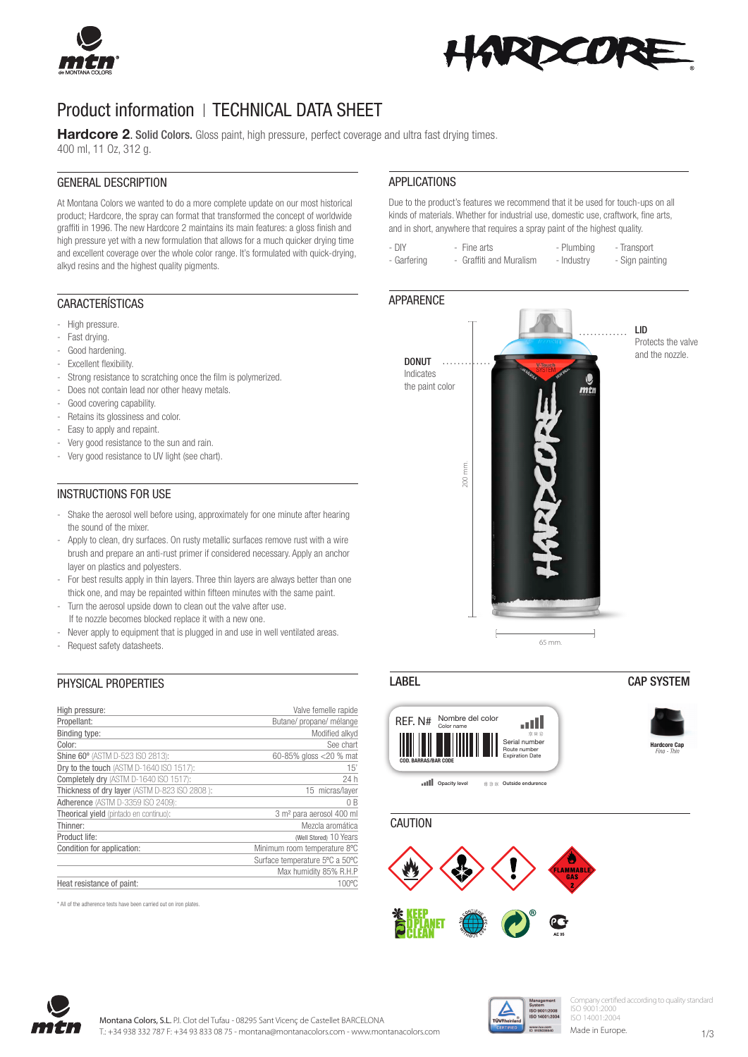



# Product information | TECHNICAL DATA SHEET

Hardcore 2. Solid Colors. Gloss paint, high pressure, perfect coverage and ultra fast drying times. 400 ml, 11 Oz, 312 g.

#### GENERAL DESCRIPTION

At Montana Colors we wanted to do a more complete update on our most historical product; Hardcore, the spray can format that transformed the concept of worldwide graffiti in 1996. The new Hardcore 2 maintains its main features: a gloss finish and high pressure yet with a new formulation that allows for a much quicker drying time and excellent coverage over the whole color range. It's formulated with quick-drying, alkyd resins and the highest quality pigments.

#### CARACTERÍSTICAS

- High pressure.
- Fast drying.
- Good hardening.
- Excellent flexibility.
- Strong resistance to scratching once the film is polymerized.
- Does not contain lead nor other heavy metals.
- Good covering capability.
- Retains its glossiness and color.
- Easy to apply and repaint.
- Very good resistance to the sun and rain.
- Very good resistance to UV light (see chart).

#### INSTRUCTIONS FOR USE

- Shake the aerosol well before using, approximately for one minute after hearing the sound of the mixer.
- Apply to clean, dry surfaces. On rusty metallic surfaces remove rust with a wire brush and prepare an anti-rust primer if considered necessary. Apply an anchor layer on plastics and polyesters.
- For best results apply in thin layers. Three thin layers are always better than one thick one, and may be repainted within fifteen minutes with the same paint.
- Turn the aerosol upside down to clean out the valve after use.
- If te nozzle becomes blocked replace it with a new one.
- Never apply to equipment that is plugged in and use in well ventilated areas.
- Request safety datasheets.

## PHYSICAL PROPERTIES

| High pressure:                                | Valve femelle rapide                 |
|-----------------------------------------------|--------------------------------------|
| Propellant:                                   | Butane/ propane/ mélange             |
| Binding type:                                 | Modified alkyd                       |
| Color:                                        | See chart                            |
| Shine 60° (ASTM D-523 ISO 2813):              | 60-85% gloss <20 % mat               |
| Dry to the touch (ASTM D-1640 ISO 1517):      | 15'                                  |
| Completely dry (ASTM D-1640 ISO 1517):        | 24 h                                 |
| Thickness of dry layer (ASTM D-823 ISO 2808): | 15 micras/laver                      |
| Adherence (ASTM D-3359 ISO 2409):             | 0B                                   |
| Theorical yield (pintado en continuo):        | 3 m <sup>2</sup> para aerosol 400 ml |
| Thinner:                                      | Mezcla aromática                     |
| Product life:                                 | (Well Stored) 10 Years               |
| Condition for application:                    | Minimum room temperature 8°C         |
|                                               | Surface temperature 5°C a 50°C       |
|                                               | Max humidity 85% R.H.P               |
| Heat resistance of paint:                     | 100°C                                |

\* All of the adherence tests have been carried out on iron plates.

#### APPLICATIONS

Due to the product's features we recommend that it be used for touch-ups on all kinds of materials. Whether for industrial use, domestic use, craftwork, fine arts, and in short, anywhere that requires a spray paint of the highest quality.

- DIY - Fine arts - Plumbing - Transport - Garfering - Graffiti and Muralism - Industry - Sign painting

#### **APPARENCE**



## LABEL CAP SYSTEM



**CAUTION** 





ny certified according to quality standard ISO 9001:2000 ISO 14001:2004

Made in Europe.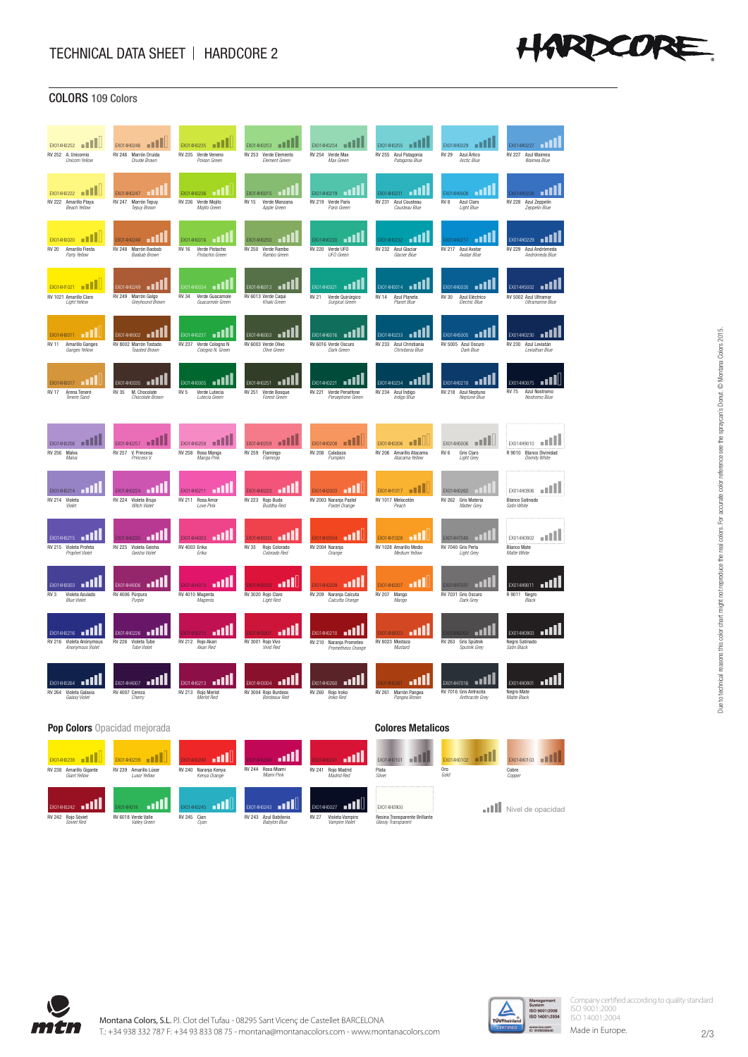

| ,,,,,<br>$\overline{\phantom{a}}$                                            | <u>vuuu</u>                                                              |                                                                            |                                                                            |                                                                               |                                                                          |                                                                                    |                                                                      |
|------------------------------------------------------------------------------|--------------------------------------------------------------------------|----------------------------------------------------------------------------|----------------------------------------------------------------------------|-------------------------------------------------------------------------------|--------------------------------------------------------------------------|------------------------------------------------------------------------------------|----------------------------------------------------------------------|
| EXO14H0252<br>RV 252 A. Unicornio<br><b>Unicorn Yellow</b>                   | $FX014H0246$ $  $<br>RV 246 Marrón Druida<br>Druide Brown                | EX014H0235    <br>RV 235 Verde Veneno<br>Poison Green                      | EX014H0253 <b>IN ENGINEERING</b><br>RV 253 Verde Elemento<br>Element Green | FX014H0254<br>.<br>RV 254 Verde Max<br>Max Green                              | EX014H0255<br>RV 255 Azul Patagonia<br>Patagonia Blue                    | EX014H0029      <br><b>RV 29</b><br>Azul Ártico<br>Arctic Blue                     | EX014H0227<br>RV 227 Azul Waimea<br>Waimea Blue                      |
| أتن<br>EX014H0222<br>RV 222 Amarillo Plava<br><b>Beach Yellow</b>            | . ELL<br>EX014H0247<br>RV 247 Marrón Tepuy<br>Tepuy Brown                | EX014H0236<br>Verde Moiito<br>RV 236<br>Mointo Green                       | EX014H0015<br>Verde Manzana<br><b>RV 15</b><br>Apple Green                 | EX014H0219 DIL<br>RV 219 Verde París<br>Paris Green                           | الله<br>EX014H0231<br>RV 231 Azul Cousteau<br>Cousteau Blue              | EX014H0008 11  <br>Azul Claro<br>RV 8<br>Light Blue                                | X014H0228 <b>1.1</b><br>RV 228 Azul Zeppelin<br>Zeppelin Blue        |
| EX014H0020 <b>III</b><br><b>RV 20</b><br>Amarillo Fiesta<br>Party Yellow     | $EXO14H0248$ $\blacksquare$<br>RV 248 Marrón Ranhah<br>Ranhah Brown      | EX014H0016    <br><b>RV 16</b><br>Verde Pistacho<br>Pistachio Green        | EX014H0250<br>RV 250<br>Verde Rambo<br>Ramho Green                         | X014H0220 <b>1    </b><br>RV 220 Verde UFO<br><b>HFO Green</b>                | $X014H0232$ $\Box$<br>RV 232 Azul Glaciar<br>Glacier Blue                | $X014H0217$ $\Box$<br>RV 217 Azul Avatar<br>Avatar Rlue                            | EX014H0229 <b>III</b><br>RV 229 Azul Andrómeda<br>Andromeda Blue     |
| EX014H1021 <b>III</b><br>RV 1021 Amarillo Claro<br>Light Yellow              | EX014H0249 $\blacksquare$<br>RV 249 Marrón Galgo<br>Greyhound Brown      | ш<br>X014H0034<br><b>RV 34</b><br>Verde Guacamole<br>Guacamole Green       | EX014H6013 <b>BN</b><br>RV 6013 Verde Caqui<br>Khaki Green                 | a Hi<br>EX014H0021<br><b>RV 21</b><br>Verde Quirúrgico<br>Surgical Green      | EX014H0014 <b>11</b><br>Azul Planeta<br>RV 14<br>Planet Blue             | <b>AUL</b><br>EX014H0030<br>RV 30<br>Azul Eléctrico<br>Electric Blue               | EX014H5002 <b>III</b><br>RV 5002 Azul Ultramar<br>Ultramarine Blue   |
| EX014H0011  <br>RV 11<br>Amarillo Ganges<br>Ganges Yellow                    | EX014H8002 <b>FILE</b><br>RV 8002 Marrón Tostado<br><b>Toasted Brown</b> | الالات<br>EX014H0237<br>RV 237 Verde Cologno N<br>Cologno N. Green         | EX014H6003 <b>111</b><br>RV 6003 Verde Olivo<br>Olive Green                | الارد<br>EX014H6016<br>RV 6016 Verde Oscuro<br>Dark Green                     | <b>FOLL</b><br>EX014H0233<br>RV 233 Azul Christiania<br>Christiania Blue | االت<br>EX014H5005<br>RV 5005 Azul Oscuro<br>Dark Blue                             | EX014H0230<br>- 11<br>RV 230 Azul Leviatán<br>Leviathan Blue         |
| пш<br>FX014H0017<br><b>RV17</b><br>Arena Teneré<br>Tenere Sand               | пш<br>EX014H0035<br><b>RV 35</b><br>M. Chocolate<br>Chocolate Brown      | EX014H0005 <b>III</b><br>Verde Lutecia<br>RV <sub>5</sub><br>Lutecia Green | EX014H0251 <b>11</b><br>RV 251<br>Verde Bosque<br>Forest Green             | n Willi<br>FX014H0221<br><b>RV 221</b><br>Verde Perséfone<br>Persephone Green | ыш<br>FX014H0234<br>RV 234 Azul Índigo<br>Indiao Blue                    | n III<br>EX014H0218<br>RV 218 Azul Neptuno<br>Neptune Blue                         | EX014H0075<br>الام<br>Azul Nostromo<br><b>RV 75</b><br>Nostromo Blue |
| n 11<br>EX014H0256<br>RV 256 Malva<br>Malva                                  | EX014H0257  <br>RV 257 V. Princesa<br>Princess V                         | EX014H0258<br>RV 258 Rosa Manga<br>Manga Pink                              | EX014H0259 <b>111</b><br>RV 259 Flamingo<br>Flamingo                       | EX014H0208    <br>RV 208 Calabaza<br>Pumpkin                                  | EX014H0206 <b>III</b><br>RV 206 Amarillo Atacama<br>Atacama Yellow       | EX014H0006 <b>III</b><br>RV <sub>6</sub><br><b>Gris Claro</b><br><b>Light Grey</b> | EX014H9010      <br>R 9010 Blanco Divinidad<br>Divinity White        |
| EX014H0214<br>пL.<br>RV 214 Violeta<br>Violet                                | EX014H0224<br>ПL<br>RV 224 Violeta Bruja<br>Witch Violet                 | EX014H0211<br>- all l<br>RV 211 Rosa Amor<br>Love Pink                     | EX014H0223 11<br>RV 223 Rojo Buda<br><b>Buddha Red</b>                     | لان<br>EX014H2003<br>RV 2003 Naranja Pastel<br>Pastel Orange                  | EX014H1017 <b>NN</b><br>RV 1017 Melocotón<br>Peach                       | EX014H0262<br>RV 262 Gris Materia<br>Matter Grey                                   | EX014H0906<br><b>BALLA</b><br><b>Blanco Satinado</b><br>Satin White  |
| EX014H0215 <b>11</b><br>RV 215 Violeta Profeta<br>Prophet Violet             | EXO14H0225<br>RV 225 Violeta Geisha<br>Geisha Violet                     | EX014H4003 <b>11</b><br>RV 4003 Erika<br>Erika                             | EX014H0033 11<br><b>RV 33</b><br>Rojo Colorado<br>Colorado Red             | EX014H2004 $\Box$<br>RV 2004 Naranja<br>Orange                                | EXO14H1028<br>RV 1028 Amarillo Medio<br>Medium Yellow                    | EX014H7040<br>RV 7040 Gris Perla<br>Light Grey                                     | n II<br>EX014H0902<br><b>Blanco Mate</b><br>Matte White              |
| dU<br>EX014H0003<br>Violeta Azulado<br>RV <sub>3</sub><br><b>Blue Violet</b> | EX014H4006 <b>NNNN</b><br>RV 4006 Púrpura<br>Purple                      | d<br>X014H4010<br>RV 4010 Magenta<br>Magenta                               | (014H3020 ПП<br>RV 3020 Rojo Claro<br>Light Red                            | الل<br><b>EX014H0209</b><br>RV 209 Naranja Calcuta<br>Calcutta Orange         | EX014H0207 11<br>RV 207 Mango<br>Mango                                   | EX014H7031 11<br>RV 7031 Gris Oscuro<br>Dark Grey                                  | EX014H9011<br>ш<br>R 9011 Negro<br>Black                             |
| EX014H0216 <b>111</b><br>RV 216 Violeta Anónymous<br>Anonymous Violet        | EX014H0226<br>RV 226 Violeta Tube<br><b>Tube Violet</b>                  | - 1<br>014H0215<br>RV 212 Rojo Akari<br>Akari Red                          | пн<br>114H3001<br>RV 3001 Rojo Vivo<br><b>Vivid Red</b>                    | 76 U<br>EX014H0210<br>RV 210 Naranja Prometeo<br>Prometheus Orange            | n II<br>X014H8023<br>RV 8023 Mostaza<br>Mustard                          | пш<br>K014H0263<br>RV 263 Gris Spútnik<br>Sputnik Grey                             | ш<br>EX014H0903<br>Negro Satinado<br>Satin Black                     |
| آلئ<br>EX014H0264<br>RV 264 Violeta Galaxia<br>Galaxy Violet                 | EX014H4007 <b>111</b><br>RV 4007 Cereza<br>Cherry                        | EX014H0213 <b>000</b><br>RV 213 Rojo Merlot<br>Merlot Red                  | EX014H3004 <b>BUIL</b><br>RV 3004 Rojo Burdeos<br><b>Bordeaux</b> Red      | EX014H0260 <b>1111</b><br>RV 260 Rojo Iroko<br>Iroko Red                      | آآب<br>X014H0261<br>RV 261 Marrón Pangea<br>Pangea Brown                 | اللب<br>EX014H7016<br>RV 7016 Gris Antracita<br>Anthracite Grey                    | uW<br>EX014H0901<br>Negro Mate<br>Matte Black                        |
| <b>Pop Colors</b> Opacidad mejorada<br><b>Colores Metalicos</b>              |                                                                          |                                                                            |                                                                            |                                                                               |                                                                          |                                                                                    |                                                                      |
| EX014H0238 <b>III</b><br>RV 238 Amarillo Gigante<br>Giant Yellow             | EX014H0239 <b>THEFT</b><br>RV 239 Amarillo Lúxor<br>Luxor Yellow         | X014H0240 <b>11  </b><br>RV 240 Naranja Kenya<br>Kenya Orange              | <u>اس</u><br>014H0244<br>RV 244 Rosa Miami<br>Miami Pink                   | الئ<br>4H0241<br>RV 241 Rojo Madrid<br>Madrid Red                             | al III<br>EX014H0101<br>Plata<br>Silver                                  | <b>EX014H0102 8 8</b><br>Oro<br>Gola                                               | EX014H0103 <b>11</b><br>Cobre<br>Copper                              |
| EX014H0242 <b>111</b>                                                        | EX014H018 $\Pi$                                                          | EX014H0245 <b>11.</b>                                                      | EX014H0243 <b>n11</b>                                                      | الات<br>EX014H0027                                                            | EX014H0900                                                               |                                                                                    | <b>nill</b> Nivel de opacidad                                        |

Due to technical reasons this color chart might not reproduce the real colors. For accurate color reference see the spraycan's Donut. © Montana Colors 2015.



RV 242 Rojo Sóviet *Soviet Red*

RV 243 Azul Babilonia *Babylon Blue*

RV 245 Cian *Cyan*

RV 6018 Verde Valle *Valley Green*

RV 27 Violeta Vampiro **Vampire Viole** 

Residences<br>Residents are Brillantes<br>Nationalisation of Transparent *Glossy Transparen* 



Company certified according to quality standard ISO 9001:2000 ISO 14001:2004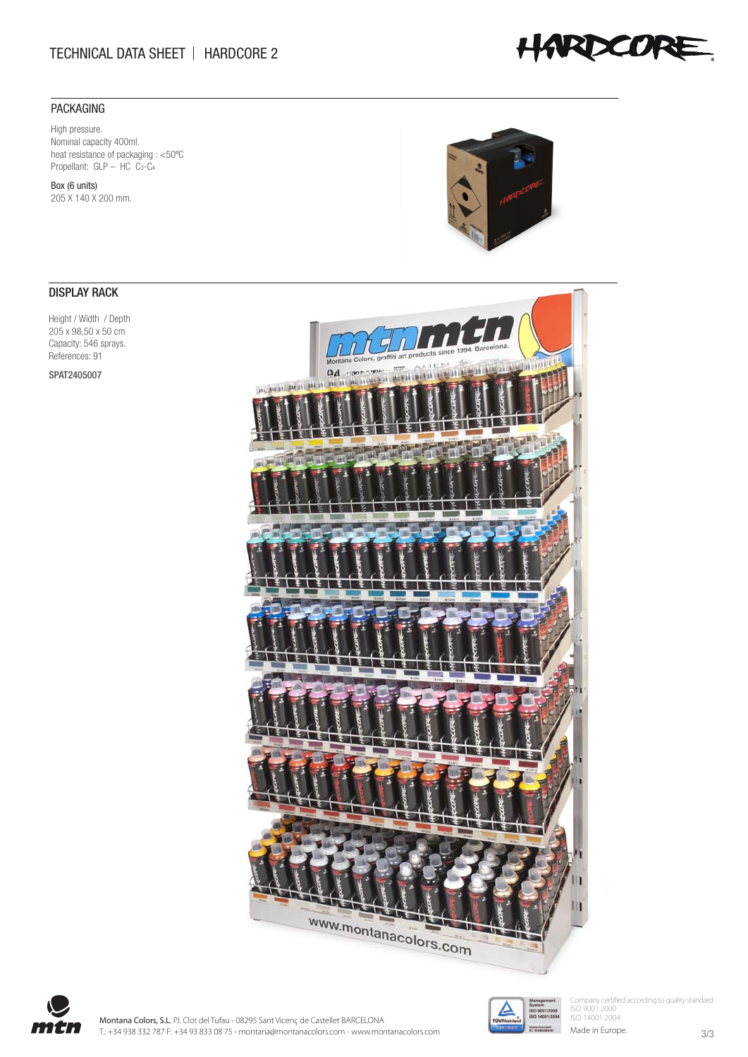# TECHNICAL DATA SHEET | HARDCORE 2

# PACKAGING

High pressure. Nominal capacity 400ml. heat resistance of packaging : <50ºC Propellant: GLP – HC C<sub>3</sub>-C<sub>4</sub>

Box (6 units) 205 X 140 X 200 mm.

# DISPLAY RACK

Height / Width / Depth 205 x 98,50 x 50 cm Capacity: 546 sprays. References: 91

SPAT2405007









Company certified according to quality standard ISO 9001:2000 ISO 14001:2004

Made in Europe.